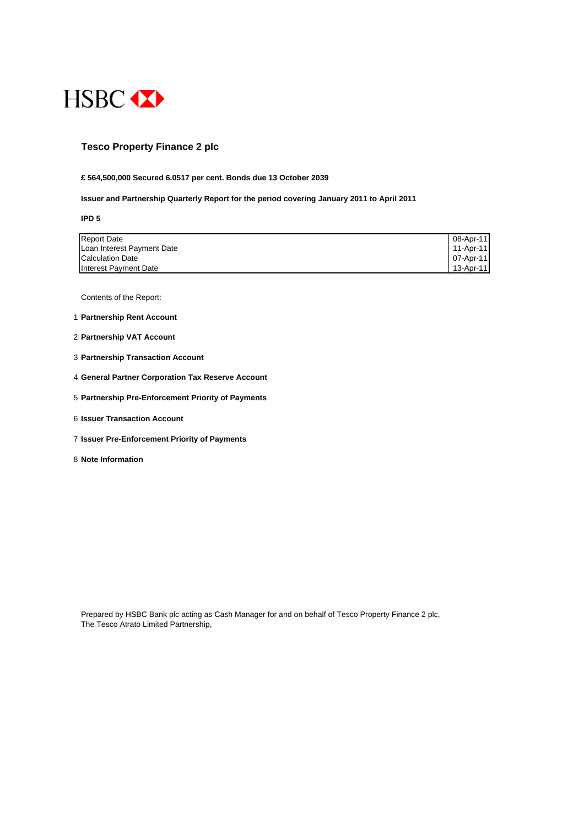

## **Tesco Property Finance 2 plc**

### **£ 564,500,000 Secured 6.0517 per cent. Bonds due 13 October 2039**

#### **Issuer and Partnership Quarterly Report for the period covering January 2011 to April 2011**

**IPD 5**

| <b>Report Date</b>         | 08-Apr-11 |
|----------------------------|-----------|
| Loan Interest Payment Date | 11-Apr-11 |
| <b>Calculation Date</b>    | 07-Apr-11 |
| Interest Payment Date      | 13-Apr-11 |

Contents of the Report:

- 1 **Partnership Rent Account**
- 2 **Partnership VAT Account**
- 3 **Partnership Transaction Account**
- 4 **General Partner Corporation Tax Reserve Account**
- 5 **Partnership Pre-Enforcement Priority of Payments**
- 6 **Issuer Transaction Account**
- 7 **Issuer Pre-Enforcement Priority of Payments**
- 8 **Note Information**

Prepared by HSBC Bank plc acting as Cash Manager for and on behalf of Tesco Property Finance 2 plc, The Tesco Atrato Limited Partnership,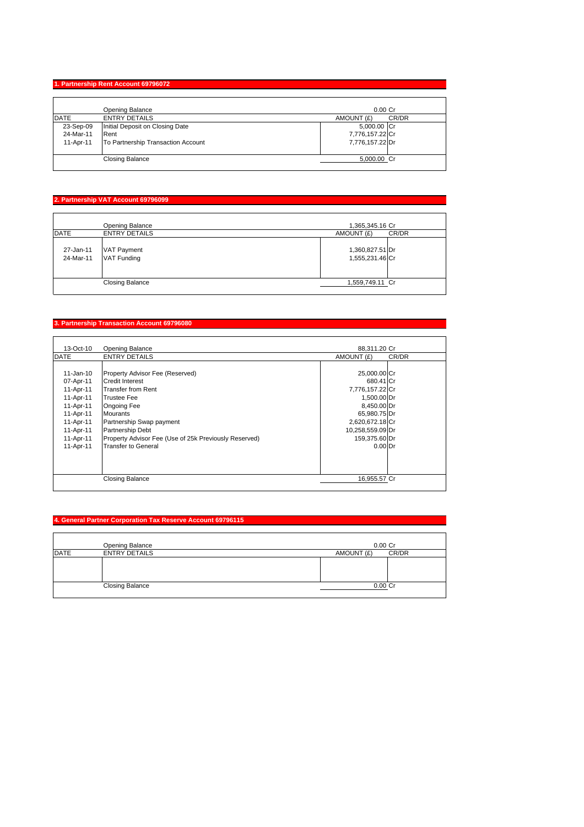## **1. Partnership Rent Account 69796072**

|             | Opening Balance                    | $0.00$ Cr           |
|-------------|------------------------------------|---------------------|
| <b>DATE</b> | <b>ENTRY DETAILS</b>               | CR/DR<br>AMOUNT (£) |
| 23-Sep-09   | Initial Deposit on Closing Date    | 5,000.00 Cr         |
| 24-Mar-11   | Rent                               | 7,776,157.22 Cr     |
| 11-Apr-11   | To Partnership Transaction Account | 7,776,157.22 Dr     |
|             | <b>Closing Balance</b>             | 5,000.00 Cr         |

# **2. Partnership VAT Account 69796099**

|                        | Opening Balance                          | 1,365,345.16 Cr                    |       |
|------------------------|------------------------------------------|------------------------------------|-------|
| <b>DATE</b>            | <b>ENTRY DETAILS</b>                     | AMOUNT (£)                         | CR/DR |
| 27-Jan-11<br>24-Mar-11 | <b>VAT Payment</b><br><b>VAT Funding</b> | 1,360,827.51 Dr<br>1,555,231.46 Cr |       |
|                        | <b>Closing Balance</b>                   | 1,559,749.11 Cr                    |       |

# **3. Partnership Transaction Account 69796080**

| 13-Oct-10   | <b>Opening Balance</b>                                | 88.311.20 Cr     |       |
|-------------|-------------------------------------------------------|------------------|-------|
| <b>DATE</b> | <b>ENTRY DETAILS</b>                                  | AMOUNT (£)       | CR/DR |
|             |                                                       |                  |       |
| 11-Jan-10   | Property Advisor Fee (Reserved)                       | 25,000.00 Cr     |       |
| 07-Apr-11   | <b>Credit Interest</b>                                | 680.41 Cr        |       |
| 11-Apr-11   | <b>Transfer from Rent</b>                             | 7,776,157.22 Cr  |       |
| 11-Apr-11   | <b>Trustee Fee</b>                                    | 1,500.00 Dr      |       |
| 11-Apr-11   | Ongoing Fee                                           | 8,450.00 Dr      |       |
| 11-Apr-11   | <b>Mourants</b>                                       | 65,980.75 Dr     |       |
| 11-Apr-11   | Partnership Swap payment                              | 2,620,672.18 Cr  |       |
| 11-Apr-11   | Partnership Debt                                      | 10,258,559.09 Dr |       |
| 11-Apr-11   | Property Advisor Fee (Use of 25k Previously Reserved) | 159,375.60 Dr    |       |
| 11-Apr-11   | <b>Transfer to General</b>                            | $0.00$ Dr        |       |
|             |                                                       |                  |       |
|             |                                                       |                  |       |
|             |                                                       |                  |       |
|             | Closing Balance                                       | 16,955.57 Cr     |       |
|             |                                                       |                  |       |

# **4. General Partner Corporation Tax Reserve Account 69796115**

|             | Opening Balance        | $0.00$ Cr  |       |
|-------------|------------------------|------------|-------|
| <b>DATE</b> | <b>ENTRY DETAILS</b>   | AMOUNT (£) | CR/DR |
|             |                        |            |       |
|             |                        |            |       |
|             |                        |            |       |
|             | <b>Closing Balance</b> | 0.00 Cr    |       |
|             |                        |            |       |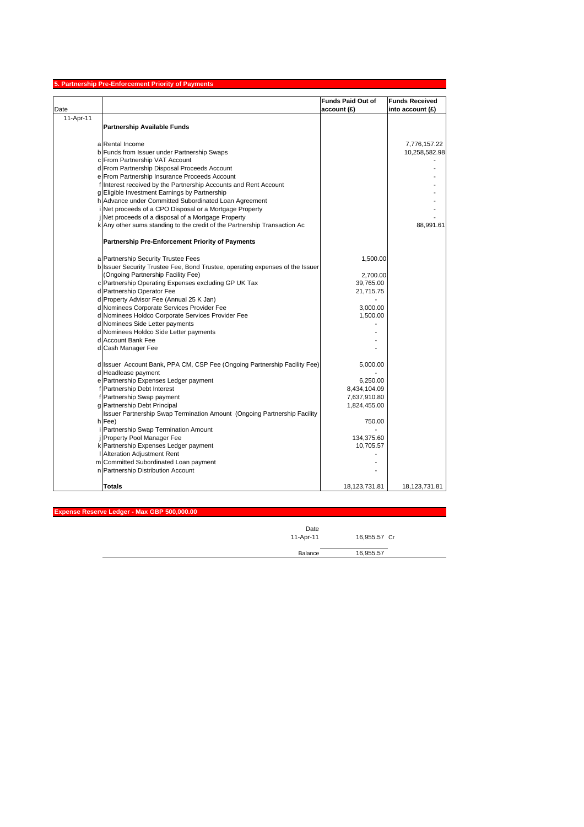| <b>Funds Paid Out of</b><br><b>Funds Received</b><br>account(E)<br>into account (£)<br>11-Apr-11<br><b>Partnership Available Funds</b><br>a Rental Income<br>7,776,157.22<br>b Funds from Issuer under Partnership Swaps<br>c From Partnership VAT Account<br>d From Partnership Disposal Proceeds Account<br>e From Partnership Insurance Proceeds Account<br>f Interest received by the Partnership Accounts and Rent Account<br>g Eligible Investment Earnings by Partnership<br>h Advance under Committed Subordinated Loan Agreement<br>Net proceeds of a CPO Disposal or a Mortgage Property<br>Net proceeds of a disposal of a Mortgage Property<br>k Any other sums standing to the credit of the Partnership Transaction Ac<br>88,991.61<br><b>Partnership Pre-Enforcement Priority of Payments</b><br>a Partnership Security Trustee Fees<br>1,500.00<br>b Issuer Security Trustee Fee, Bond Trustee, operating expenses of the Issuer<br>(Ongoing Partnership Facility Fee)<br>2,700.00<br>c Partnership Operating Expenses excluding GP UK Tax<br>39,765.00<br>d Partnership Operator Fee<br>21,715.75<br>d Property Advisor Fee (Annual 25 K Jan)<br>d Nominees Corporate Services Provider Fee<br>3,000.00<br>d Nominees Holdco Corporate Services Provider Fee<br>1,500.00<br>d Nominees Side Letter payments<br>d Nominees Holdco Side Letter payments<br>d Account Bank Fee<br>d Cash Manager Fee<br>d Issuer Account Bank, PPA CM, CSP Fee (Ongoing Partnership Facility Fee)<br>5,000.00<br>d Headlease payment<br>e Partnership Expenses Ledger payment<br>6,250.00<br>f Partnership Debt Interest<br>8,434,104.09<br>f Partnership Swap payment<br>7,637,910.80<br>g Partnership Debt Principal<br>1,824,455.00<br>Issuer Partnership Swap Termination Amount (Ongoing Partnership Facility<br>h Fee)<br>750.00<br>Partnership Swap Termination Amount<br>Property Pool Manager Fee<br>134,375.60<br>k Partnership Expenses Ledger payment<br>10,705.57<br>Alteration Adjustment Rent<br>m Committed Subordinated Loan payment<br>n Partnership Distribution Account<br><b>Totals</b><br>18,123,731.81<br>18,123,731.81 |      | 5. Partnership Pre-Enforcement Priority of Payments |               |
|----------------------------------------------------------------------------------------------------------------------------------------------------------------------------------------------------------------------------------------------------------------------------------------------------------------------------------------------------------------------------------------------------------------------------------------------------------------------------------------------------------------------------------------------------------------------------------------------------------------------------------------------------------------------------------------------------------------------------------------------------------------------------------------------------------------------------------------------------------------------------------------------------------------------------------------------------------------------------------------------------------------------------------------------------------------------------------------------------------------------------------------------------------------------------------------------------------------------------------------------------------------------------------------------------------------------------------------------------------------------------------------------------------------------------------------------------------------------------------------------------------------------------------------------------------------------------------------------------------------------------------------------------------------------------------------------------------------------------------------------------------------------------------------------------------------------------------------------------------------------------------------------------------------------------------------------------------------------------------------------------------------------------------------------------------------------------------------------------------------------------------------------|------|-----------------------------------------------------|---------------|
|                                                                                                                                                                                                                                                                                                                                                                                                                                                                                                                                                                                                                                                                                                                                                                                                                                                                                                                                                                                                                                                                                                                                                                                                                                                                                                                                                                                                                                                                                                                                                                                                                                                                                                                                                                                                                                                                                                                                                                                                                                                                                                                                              |      |                                                     |               |
|                                                                                                                                                                                                                                                                                                                                                                                                                                                                                                                                                                                                                                                                                                                                                                                                                                                                                                                                                                                                                                                                                                                                                                                                                                                                                                                                                                                                                                                                                                                                                                                                                                                                                                                                                                                                                                                                                                                                                                                                                                                                                                                                              | Date |                                                     |               |
|                                                                                                                                                                                                                                                                                                                                                                                                                                                                                                                                                                                                                                                                                                                                                                                                                                                                                                                                                                                                                                                                                                                                                                                                                                                                                                                                                                                                                                                                                                                                                                                                                                                                                                                                                                                                                                                                                                                                                                                                                                                                                                                                              |      |                                                     |               |
|                                                                                                                                                                                                                                                                                                                                                                                                                                                                                                                                                                                                                                                                                                                                                                                                                                                                                                                                                                                                                                                                                                                                                                                                                                                                                                                                                                                                                                                                                                                                                                                                                                                                                                                                                                                                                                                                                                                                                                                                                                                                                                                                              |      |                                                     |               |
|                                                                                                                                                                                                                                                                                                                                                                                                                                                                                                                                                                                                                                                                                                                                                                                                                                                                                                                                                                                                                                                                                                                                                                                                                                                                                                                                                                                                                                                                                                                                                                                                                                                                                                                                                                                                                                                                                                                                                                                                                                                                                                                                              |      |                                                     |               |
|                                                                                                                                                                                                                                                                                                                                                                                                                                                                                                                                                                                                                                                                                                                                                                                                                                                                                                                                                                                                                                                                                                                                                                                                                                                                                                                                                                                                                                                                                                                                                                                                                                                                                                                                                                                                                                                                                                                                                                                                                                                                                                                                              |      |                                                     |               |
|                                                                                                                                                                                                                                                                                                                                                                                                                                                                                                                                                                                                                                                                                                                                                                                                                                                                                                                                                                                                                                                                                                                                                                                                                                                                                                                                                                                                                                                                                                                                                                                                                                                                                                                                                                                                                                                                                                                                                                                                                                                                                                                                              |      |                                                     | 10,258,582.98 |
|                                                                                                                                                                                                                                                                                                                                                                                                                                                                                                                                                                                                                                                                                                                                                                                                                                                                                                                                                                                                                                                                                                                                                                                                                                                                                                                                                                                                                                                                                                                                                                                                                                                                                                                                                                                                                                                                                                                                                                                                                                                                                                                                              |      |                                                     |               |
|                                                                                                                                                                                                                                                                                                                                                                                                                                                                                                                                                                                                                                                                                                                                                                                                                                                                                                                                                                                                                                                                                                                                                                                                                                                                                                                                                                                                                                                                                                                                                                                                                                                                                                                                                                                                                                                                                                                                                                                                                                                                                                                                              |      |                                                     |               |
|                                                                                                                                                                                                                                                                                                                                                                                                                                                                                                                                                                                                                                                                                                                                                                                                                                                                                                                                                                                                                                                                                                                                                                                                                                                                                                                                                                                                                                                                                                                                                                                                                                                                                                                                                                                                                                                                                                                                                                                                                                                                                                                                              |      |                                                     |               |
|                                                                                                                                                                                                                                                                                                                                                                                                                                                                                                                                                                                                                                                                                                                                                                                                                                                                                                                                                                                                                                                                                                                                                                                                                                                                                                                                                                                                                                                                                                                                                                                                                                                                                                                                                                                                                                                                                                                                                                                                                                                                                                                                              |      |                                                     |               |
|                                                                                                                                                                                                                                                                                                                                                                                                                                                                                                                                                                                                                                                                                                                                                                                                                                                                                                                                                                                                                                                                                                                                                                                                                                                                                                                                                                                                                                                                                                                                                                                                                                                                                                                                                                                                                                                                                                                                                                                                                                                                                                                                              |      |                                                     |               |
|                                                                                                                                                                                                                                                                                                                                                                                                                                                                                                                                                                                                                                                                                                                                                                                                                                                                                                                                                                                                                                                                                                                                                                                                                                                                                                                                                                                                                                                                                                                                                                                                                                                                                                                                                                                                                                                                                                                                                                                                                                                                                                                                              |      |                                                     |               |
|                                                                                                                                                                                                                                                                                                                                                                                                                                                                                                                                                                                                                                                                                                                                                                                                                                                                                                                                                                                                                                                                                                                                                                                                                                                                                                                                                                                                                                                                                                                                                                                                                                                                                                                                                                                                                                                                                                                                                                                                                                                                                                                                              |      |                                                     |               |
|                                                                                                                                                                                                                                                                                                                                                                                                                                                                                                                                                                                                                                                                                                                                                                                                                                                                                                                                                                                                                                                                                                                                                                                                                                                                                                                                                                                                                                                                                                                                                                                                                                                                                                                                                                                                                                                                                                                                                                                                                                                                                                                                              |      |                                                     |               |
|                                                                                                                                                                                                                                                                                                                                                                                                                                                                                                                                                                                                                                                                                                                                                                                                                                                                                                                                                                                                                                                                                                                                                                                                                                                                                                                                                                                                                                                                                                                                                                                                                                                                                                                                                                                                                                                                                                                                                                                                                                                                                                                                              |      |                                                     |               |
|                                                                                                                                                                                                                                                                                                                                                                                                                                                                                                                                                                                                                                                                                                                                                                                                                                                                                                                                                                                                                                                                                                                                                                                                                                                                                                                                                                                                                                                                                                                                                                                                                                                                                                                                                                                                                                                                                                                                                                                                                                                                                                                                              |      |                                                     |               |
|                                                                                                                                                                                                                                                                                                                                                                                                                                                                                                                                                                                                                                                                                                                                                                                                                                                                                                                                                                                                                                                                                                                                                                                                                                                                                                                                                                                                                                                                                                                                                                                                                                                                                                                                                                                                                                                                                                                                                                                                                                                                                                                                              |      |                                                     |               |
|                                                                                                                                                                                                                                                                                                                                                                                                                                                                                                                                                                                                                                                                                                                                                                                                                                                                                                                                                                                                                                                                                                                                                                                                                                                                                                                                                                                                                                                                                                                                                                                                                                                                                                                                                                                                                                                                                                                                                                                                                                                                                                                                              |      |                                                     |               |
|                                                                                                                                                                                                                                                                                                                                                                                                                                                                                                                                                                                                                                                                                                                                                                                                                                                                                                                                                                                                                                                                                                                                                                                                                                                                                                                                                                                                                                                                                                                                                                                                                                                                                                                                                                                                                                                                                                                                                                                                                                                                                                                                              |      |                                                     |               |
|                                                                                                                                                                                                                                                                                                                                                                                                                                                                                                                                                                                                                                                                                                                                                                                                                                                                                                                                                                                                                                                                                                                                                                                                                                                                                                                                                                                                                                                                                                                                                                                                                                                                                                                                                                                                                                                                                                                                                                                                                                                                                                                                              |      |                                                     |               |
|                                                                                                                                                                                                                                                                                                                                                                                                                                                                                                                                                                                                                                                                                                                                                                                                                                                                                                                                                                                                                                                                                                                                                                                                                                                                                                                                                                                                                                                                                                                                                                                                                                                                                                                                                                                                                                                                                                                                                                                                                                                                                                                                              |      |                                                     |               |
|                                                                                                                                                                                                                                                                                                                                                                                                                                                                                                                                                                                                                                                                                                                                                                                                                                                                                                                                                                                                                                                                                                                                                                                                                                                                                                                                                                                                                                                                                                                                                                                                                                                                                                                                                                                                                                                                                                                                                                                                                                                                                                                                              |      |                                                     |               |
|                                                                                                                                                                                                                                                                                                                                                                                                                                                                                                                                                                                                                                                                                                                                                                                                                                                                                                                                                                                                                                                                                                                                                                                                                                                                                                                                                                                                                                                                                                                                                                                                                                                                                                                                                                                                                                                                                                                                                                                                                                                                                                                                              |      |                                                     |               |
|                                                                                                                                                                                                                                                                                                                                                                                                                                                                                                                                                                                                                                                                                                                                                                                                                                                                                                                                                                                                                                                                                                                                                                                                                                                                                                                                                                                                                                                                                                                                                                                                                                                                                                                                                                                                                                                                                                                                                                                                                                                                                                                                              |      |                                                     |               |
|                                                                                                                                                                                                                                                                                                                                                                                                                                                                                                                                                                                                                                                                                                                                                                                                                                                                                                                                                                                                                                                                                                                                                                                                                                                                                                                                                                                                                                                                                                                                                                                                                                                                                                                                                                                                                                                                                                                                                                                                                                                                                                                                              |      |                                                     |               |
|                                                                                                                                                                                                                                                                                                                                                                                                                                                                                                                                                                                                                                                                                                                                                                                                                                                                                                                                                                                                                                                                                                                                                                                                                                                                                                                                                                                                                                                                                                                                                                                                                                                                                                                                                                                                                                                                                                                                                                                                                                                                                                                                              |      |                                                     |               |
|                                                                                                                                                                                                                                                                                                                                                                                                                                                                                                                                                                                                                                                                                                                                                                                                                                                                                                                                                                                                                                                                                                                                                                                                                                                                                                                                                                                                                                                                                                                                                                                                                                                                                                                                                                                                                                                                                                                                                                                                                                                                                                                                              |      |                                                     |               |
|                                                                                                                                                                                                                                                                                                                                                                                                                                                                                                                                                                                                                                                                                                                                                                                                                                                                                                                                                                                                                                                                                                                                                                                                                                                                                                                                                                                                                                                                                                                                                                                                                                                                                                                                                                                                                                                                                                                                                                                                                                                                                                                                              |      |                                                     |               |
|                                                                                                                                                                                                                                                                                                                                                                                                                                                                                                                                                                                                                                                                                                                                                                                                                                                                                                                                                                                                                                                                                                                                                                                                                                                                                                                                                                                                                                                                                                                                                                                                                                                                                                                                                                                                                                                                                                                                                                                                                                                                                                                                              |      |                                                     |               |
|                                                                                                                                                                                                                                                                                                                                                                                                                                                                                                                                                                                                                                                                                                                                                                                                                                                                                                                                                                                                                                                                                                                                                                                                                                                                                                                                                                                                                                                                                                                                                                                                                                                                                                                                                                                                                                                                                                                                                                                                                                                                                                                                              |      |                                                     |               |
|                                                                                                                                                                                                                                                                                                                                                                                                                                                                                                                                                                                                                                                                                                                                                                                                                                                                                                                                                                                                                                                                                                                                                                                                                                                                                                                                                                                                                                                                                                                                                                                                                                                                                                                                                                                                                                                                                                                                                                                                                                                                                                                                              |      |                                                     |               |
|                                                                                                                                                                                                                                                                                                                                                                                                                                                                                                                                                                                                                                                                                                                                                                                                                                                                                                                                                                                                                                                                                                                                                                                                                                                                                                                                                                                                                                                                                                                                                                                                                                                                                                                                                                                                                                                                                                                                                                                                                                                                                                                                              |      |                                                     |               |
|                                                                                                                                                                                                                                                                                                                                                                                                                                                                                                                                                                                                                                                                                                                                                                                                                                                                                                                                                                                                                                                                                                                                                                                                                                                                                                                                                                                                                                                                                                                                                                                                                                                                                                                                                                                                                                                                                                                                                                                                                                                                                                                                              |      |                                                     |               |
|                                                                                                                                                                                                                                                                                                                                                                                                                                                                                                                                                                                                                                                                                                                                                                                                                                                                                                                                                                                                                                                                                                                                                                                                                                                                                                                                                                                                                                                                                                                                                                                                                                                                                                                                                                                                                                                                                                                                                                                                                                                                                                                                              |      |                                                     |               |
|                                                                                                                                                                                                                                                                                                                                                                                                                                                                                                                                                                                                                                                                                                                                                                                                                                                                                                                                                                                                                                                                                                                                                                                                                                                                                                                                                                                                                                                                                                                                                                                                                                                                                                                                                                                                                                                                                                                                                                                                                                                                                                                                              |      |                                                     |               |
|                                                                                                                                                                                                                                                                                                                                                                                                                                                                                                                                                                                                                                                                                                                                                                                                                                                                                                                                                                                                                                                                                                                                                                                                                                                                                                                                                                                                                                                                                                                                                                                                                                                                                                                                                                                                                                                                                                                                                                                                                                                                                                                                              |      |                                                     |               |
|                                                                                                                                                                                                                                                                                                                                                                                                                                                                                                                                                                                                                                                                                                                                                                                                                                                                                                                                                                                                                                                                                                                                                                                                                                                                                                                                                                                                                                                                                                                                                                                                                                                                                                                                                                                                                                                                                                                                                                                                                                                                                                                                              |      |                                                     |               |
|                                                                                                                                                                                                                                                                                                                                                                                                                                                                                                                                                                                                                                                                                                                                                                                                                                                                                                                                                                                                                                                                                                                                                                                                                                                                                                                                                                                                                                                                                                                                                                                                                                                                                                                                                                                                                                                                                                                                                                                                                                                                                                                                              |      |                                                     |               |
|                                                                                                                                                                                                                                                                                                                                                                                                                                                                                                                                                                                                                                                                                                                                                                                                                                                                                                                                                                                                                                                                                                                                                                                                                                                                                                                                                                                                                                                                                                                                                                                                                                                                                                                                                                                                                                                                                                                                                                                                                                                                                                                                              |      |                                                     |               |
|                                                                                                                                                                                                                                                                                                                                                                                                                                                                                                                                                                                                                                                                                                                                                                                                                                                                                                                                                                                                                                                                                                                                                                                                                                                                                                                                                                                                                                                                                                                                                                                                                                                                                                                                                                                                                                                                                                                                                                                                                                                                                                                                              |      |                                                     |               |
|                                                                                                                                                                                                                                                                                                                                                                                                                                                                                                                                                                                                                                                                                                                                                                                                                                                                                                                                                                                                                                                                                                                                                                                                                                                                                                                                                                                                                                                                                                                                                                                                                                                                                                                                                                                                                                                                                                                                                                                                                                                                                                                                              |      |                                                     |               |
|                                                                                                                                                                                                                                                                                                                                                                                                                                                                                                                                                                                                                                                                                                                                                                                                                                                                                                                                                                                                                                                                                                                                                                                                                                                                                                                                                                                                                                                                                                                                                                                                                                                                                                                                                                                                                                                                                                                                                                                                                                                                                                                                              |      |                                                     |               |
|                                                                                                                                                                                                                                                                                                                                                                                                                                                                                                                                                                                                                                                                                                                                                                                                                                                                                                                                                                                                                                                                                                                                                                                                                                                                                                                                                                                                                                                                                                                                                                                                                                                                                                                                                                                                                                                                                                                                                                                                                                                                                                                                              |      |                                                     |               |
|                                                                                                                                                                                                                                                                                                                                                                                                                                                                                                                                                                                                                                                                                                                                                                                                                                                                                                                                                                                                                                                                                                                                                                                                                                                                                                                                                                                                                                                                                                                                                                                                                                                                                                                                                                                                                                                                                                                                                                                                                                                                                                                                              |      |                                                     |               |

**Expense Reserve Ledger - Max GBP 500,000.00**

| Date<br>11-Apr-11 | 16,955.57 Cr |  |
|-------------------|--------------|--|
| Balance           | 16,955.57    |  |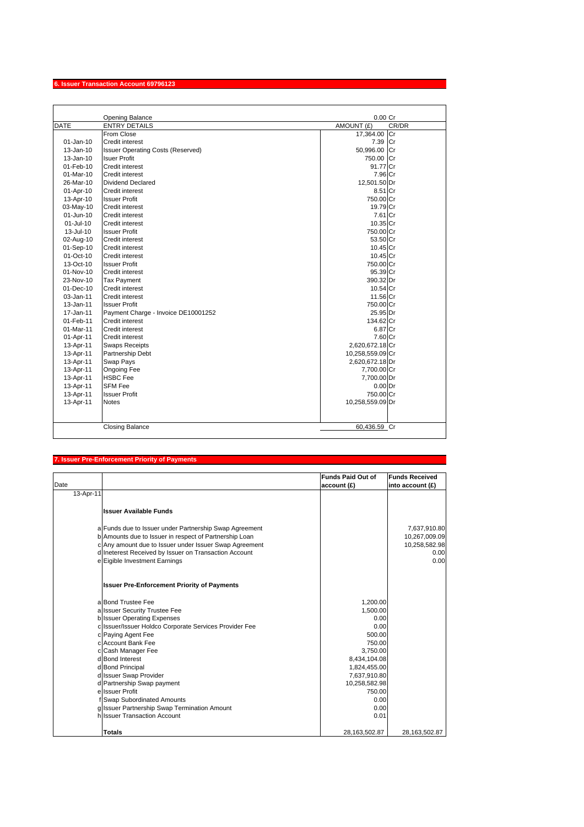|               | Opening Balance                          | 0.00 Cr             |
|---------------|------------------------------------------|---------------------|
| <b>DATE</b>   | <b>ENTRY DETAILS</b>                     | CR/DR<br>AMOUNT (£) |
|               | From Close                               | 17,364.00 Cr        |
| $01 - Jan-10$ | Credit interest                          | 7.39 Cr             |
| 13-Jan-10     | <b>Issuer Operating Costs (Reserved)</b> | 50,996.00 Cr        |
| 13-Jan-10     | <b>Isuer Profit</b>                      | 750.00 Cr           |
| 01-Feb-10     | <b>Credit interest</b>                   | 91.77 Cr            |
| 01-Mar-10     | Credit interest                          | 7.96 Cr             |
| 26-Mar-10     | Dividend Declared                        | 12,501.50 Dr        |
| 01-Apr-10     | Credit interest                          | 8.51 Cr             |
| 13-Apr-10     | <b>Issuer Profit</b>                     | 750.00 Cr           |
| 03-May-10     | <b>Credit interest</b>                   | 19.79 Cr            |
| 01-Jun-10     | Credit interest                          | 7.61 Cr             |
| 01-Jul-10     | Credit interest                          | 10.35 Cr            |
| 13-Jul-10     | <b>Issuer Profit</b>                     | 750.00 Cr           |
| 02-Aug-10     | Credit interest                          | 53.50 Cr            |
| 01-Sep-10     | Credit interest                          | 10.45 Cr            |
| 01-Oct-10     | <b>Credit interest</b>                   | 10.45 Cr            |
| 13-Oct-10     | <b>Issuer Profit</b>                     | 750.00 Cr           |
| 01-Nov-10     | <b>Credit interest</b>                   | 95.39 Cr            |
| 23-Nov-10     | <b>Tax Payment</b>                       | 390.32 Dr           |
| $01 - Dec-10$ | Credit interest                          | 10.54 Cr            |
| 03-Jan-11     | Credit interest                          | 11.56 Cr            |
| 13-Jan-11     | <b>Issuer Profit</b>                     | 750.00 Cr           |
| 17-Jan-11     | Payment Charge - Invoice DE10001252      | 25.95 Dr            |
| 01-Feb-11     | Credit interest                          | 134.62 Cr           |
| 01-Mar-11     | Credit interest                          | 6.87 Cr             |
| 01-Apr-11     | Credit interest                          | 7.60 Cr             |
| 13-Apr-11     | <b>Swaps Receipts</b>                    | 2,620,672.18 Cr     |
| 13-Apr-11     | Partnership Debt                         | 10,258,559.09 Cr    |
| 13-Apr-11     | Swap Pays                                | 2,620,672.18 Dr     |
| 13-Apr-11     | <b>Ongoing Fee</b>                       | 7,700.00 Cr         |
| 13-Apr-11     | <b>HSBC Fee</b>                          | 7,700.00 Dr         |
| 13-Apr-11     | <b>SFM Fee</b>                           | $0.00$ Dr           |
| 13-Apr-11     | <b>Issuer Profit</b>                     | 750.00 Cr           |
| 13-Apr-11     | <b>Notes</b>                             | 10,258,559.09 Dr    |
|               |                                          |                     |
|               | <b>Closing Balance</b>                   | 60,436.59 Cr        |

#### **7. Issuer Pre-Enforcement Priority of Payments**

| Date      |                                                        | <b>Funds Paid Out of</b><br>account (£) | <b>Funds Received</b><br>into account (£) |
|-----------|--------------------------------------------------------|-----------------------------------------|-------------------------------------------|
| 13-Apr-11 |                                                        |                                         |                                           |
|           | <b>Issuer Available Funds</b>                          |                                         |                                           |
|           | a Funds due to Issuer under Partnership Swap Agreement |                                         | 7,637,910.80                              |
|           | b Amounts due to Issuer in respect of Partnership Loan |                                         | 10,267,009.09                             |
|           | c Any amount due to Issuer under Issuer Swap Agreement |                                         | 10,258,582.98                             |
|           | d Ineterest Received by Issuer on Transaction Account  |                                         | 0.00                                      |
|           | e Eigible Investment Earnings                          |                                         | 0.00                                      |
|           | <b>Issuer Pre-Enforcement Priority of Payments</b>     |                                         |                                           |
|           | a Bond Trustee Fee                                     | 1,200.00                                |                                           |
|           | a Issuer Security Trustee Fee                          | 1,500.00                                |                                           |
|           | <b>b</b> Issuer Operating Expenses                     | 0.00                                    |                                           |
|           | c Issuer/Issuer Holdco Corporate Services Provider Fee | 0.00                                    |                                           |
|           | c Paying Agent Fee                                     | 500.00                                  |                                           |
|           | c Account Bank Fee                                     | 750.00                                  |                                           |
|           | c Cash Manager Fee                                     | 3,750.00                                |                                           |
|           | d Bond Interest                                        | 8,434,104.08                            |                                           |
|           | d Bond Principal                                       | 1,824,455.00                            |                                           |
|           | d Issuer Swap Provider                                 | 7,637,910.80                            |                                           |
|           | d Partnership Swap payment                             | 10,258,582.98                           |                                           |
|           | e Issuer Profit                                        | 750.00                                  |                                           |
|           | f Swap Subordinated Amounts                            | 0.00                                    |                                           |
|           | g Issuer Partnership Swap Termination Amount           | 0.00                                    |                                           |
|           | h Issuer Transaction Account                           | 0.01                                    |                                           |
|           | Totals                                                 | 28,163,502.87                           | 28,163,502.87                             |